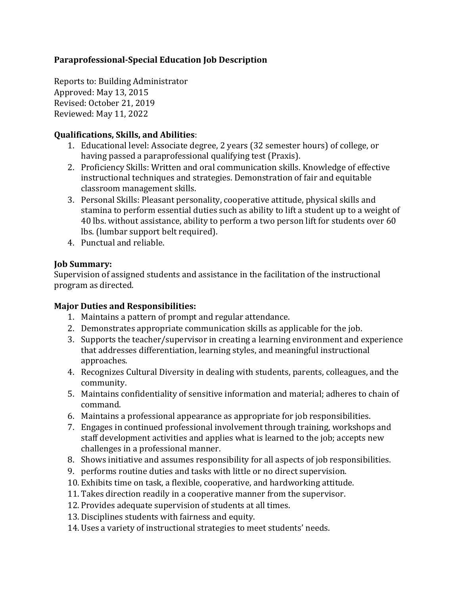# **Paraprofessional-Special Education Job Description**

Reports to: Building Administrator Approved: May 13, 2015 Revised: October 21, 2019 Reviewed: May 11, 2022

## **Qualifications, Skills, and Abilities**:

- 1. Educational level: Associate degree, 2 years (32 semester hours) of college, or having passed a paraprofessional qualifying test (Praxis).
- 2. Proficiency Skills: Written and oral communication skills. Knowledge of effective instructional techniques and strategies. Demonstration of fair and equitable classroom management skills.
- 3. Personal Skills: Pleasant personality, cooperative attitude, physical skills and stamina to perform essential duties such as ability to lift a student up to a weight of 40 lbs. without assistance, ability to perform a two person lift for students over 60 lbs. (lumbar support belt required).
- 4. Punctual and reliable.

## **Job Summary:**

Supervision of assigned students and assistance in the facilitation of the instructional program as directed.

# **Major Duties and Responsibilities:**

- 1. Maintains a pattern of prompt and regular attendance.
- 2. Demonstrates appropriate communication skills as applicable for the job.
- 3. Supports the teacher/supervisor in creating a learning environment and experience that addresses differentiation, learning styles, and meaningful instructional approaches.
- 4. Recognizes Cultural Diversity in dealing with students, parents, colleagues, and the community.
- 5. Maintains confidentiality of sensitive information and material; adheres to chain of command.
- 6. Maintains a professional appearance as appropriate for job responsibilities.
- 7. Engages in continued professional involvement through training, workshops and staff development activities and applies what is learned to the job; accepts new challenges in a professional manner.
- 8. Shows initiative and assumes responsibility for all aspects of job responsibilities.
- 9. performs routine duties and tasks with little or no direct supervision.
- 10. Exhibits time on task, a flexible, cooperative, and hardworking attitude.
- 11. Takes direction readily in a cooperative manner from the supervisor.
- 12. Provides adequate supervision of students at all times.
- 13. Disciplines students with fairness and equity.
- 14. Uses a variety of instructional strategies to meet students' needs.